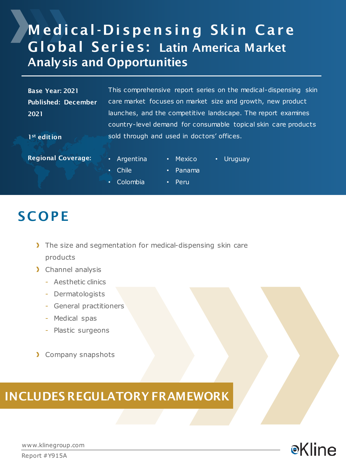## **Medical-Dispensing Skin Care** Global Ser ies: Latin America Market Analysis and Opportunities

Base Year: 2021 Published: December 2021

This comprehensive report series on the medical-dispensing skin care market focuses on market size and growth, new product launches, and the competitive landscape. The report examines country-level demand for consumable topical skin care products sold through and used in doctors' offices.

1<sup>st</sup> edition

- Regional Coverage:  **Argentina**
- Mexico • Uruguay
- Chile
- Panama
- Colombia
- Peru

## **SCOPE**

- The size and segmentation for medical-dispensing skin care products
- > Channel analysis
	- Aesthetic clinics
	- Dermatologists
	- General practitioners
	- Medical spas
	- Plastic surgeons
- > Company snapshots

## INCLUDES REGULATORY FRAMEWORK



www.klinegroup.com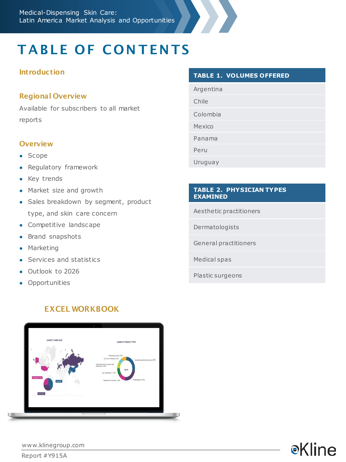# **TABLE OF CONTENTS**

### Introduction

### Regional Overview

Available for subscribers to all market reports

### **Overview**

- Scope
- Regulatory framework
- Key trends
- Market size and growth
- Sales breakdown by segment, product type, and skin care concern
- Competitive landscape
- Brand snapshots
- Marketing
- Services and statistics
- Outlook to 2026
- **•** Opportunities

### EXCEL WORKBOOK



#### **TABLE 1. VOLUMES OFFERED**

Argentina

Chile

Colombia

Mexico

Panama

Peru

Uruguay

#### **TABLE 2. PHYSICIAN TYPES EXAMINED**

Aesthetic practitioners

Dermatologists

General practitioners

Medical spas

Plastic surgeons



www.klinegroup.com

Report #Y915A